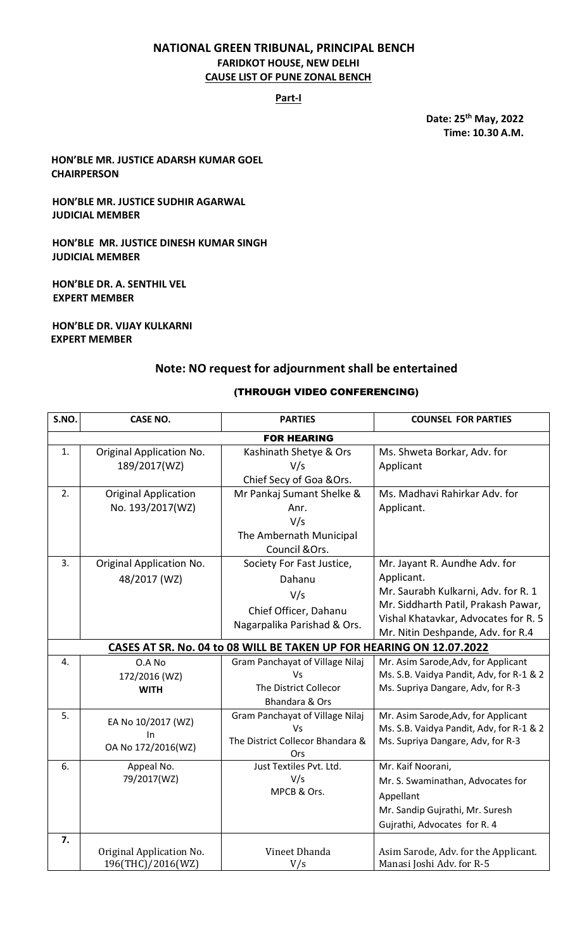#### **NATIONAL GREEN TRIBUNAL, PRINCIPAL BENCH FARIDKOT HOUSE, NEW DELHI CAUSE LIST OF PUNE ZONAL BENCH**

#### **Part-I**

**Date: 25th May, 2022 Time: 10.30 A.M.**

**HON'BLE MR. JUSTICE ADARSH KUMAR GOEL CHAIRPERSON**

#### **HON'BLE MR. JUSTICE SUDHIR AGARWAL JUDICIAL MEMBER**

**HON'BLE MR. JUSTICE DINESH KUMAR SINGH JUDICIAL MEMBER**

196(THC)/2016(WZ)

**HON'BLE DR. A. SENTHIL VEL EXPERT MEMBER**

**HON'BLE DR. VIJAY KULKARNI EXPERT MEMBER**

#### **Note: NO request for adjournment shall be entertained**

#### **S.NO. CASE NO. PARTIES COUNSEL FOR PARTIES** FOR HEARING 1. Original Application No. 189/2017(WZ) Kashinath Shetye & Ors V/s Chief Secy of Goa &Ors. Ms. Shweta Borkar, Adv. for Applicant 2. Original Application No. 193/2017(WZ) Mr Pankaj Sumant Shelke & Anr. V/s The Ambernath Municipal Council &Ors. Ms. Madhavi Rahirkar Adv. for Applicant. 3. Original Application No. 48/2017 (WZ) Society For Fast Justice, Dahanu V/s Chief Officer, Dahanu Nagarpalika Parishad & Ors. Mr. Jayant R. Aundhe Adv. for Applicant. Mr. Saurabh Kulkarni, Adv. for R. 1 Mr. Siddharth Patil, Prakash Pawar, Vishal Khatavkar, Advocates for R. 5 Mr. Nitin Deshpande, Adv. for R.4 **CASES AT SR. No. 04 to 08 WILL BE TAKEN UP FOR HEARING ON 12.07.2022** 4. O.A No 172/2016 (WZ) **WITH** Gram Panchayat of Village Nilaj Vs The District Collecor Bhandara & Ors Mr. Asim Sarode,Adv, for Applicant Ms. S.B. Vaidya Pandit, Adv, for R-1 & 2 Ms. Supriya Dangare, Adv, for R-3 5. EA No 10/2017 (WZ) In OA No 172/2016(WZ) Gram Panchayat of Village Nilaj Vs The District Collecor Bhandara & **Ors** Mr. Asim Sarode,Adv, for Applicant Ms. S.B. Vaidya Pandit, Adv, for R-1 & 2 Ms. Supriya Dangare, Adv, for R-3 6. Appeal No. 79/2017(WZ) Just Textiles Pvt. Ltd. V/s MPCB & Ors. Mr. Kaif Noorani, Mr. S. Swaminathan, Advocates for Appellant Mr. Sandip Gujrathi, Mr. Suresh Gujrathi, Advocates for R. 4 **7.** Original Application No. Vineet Dhanda Asim Sarode, Adv. for the Applicant.

V/s

Manasi Joshi Adv. for R-5

#### (THROUGH VIDEO CONFERENCING)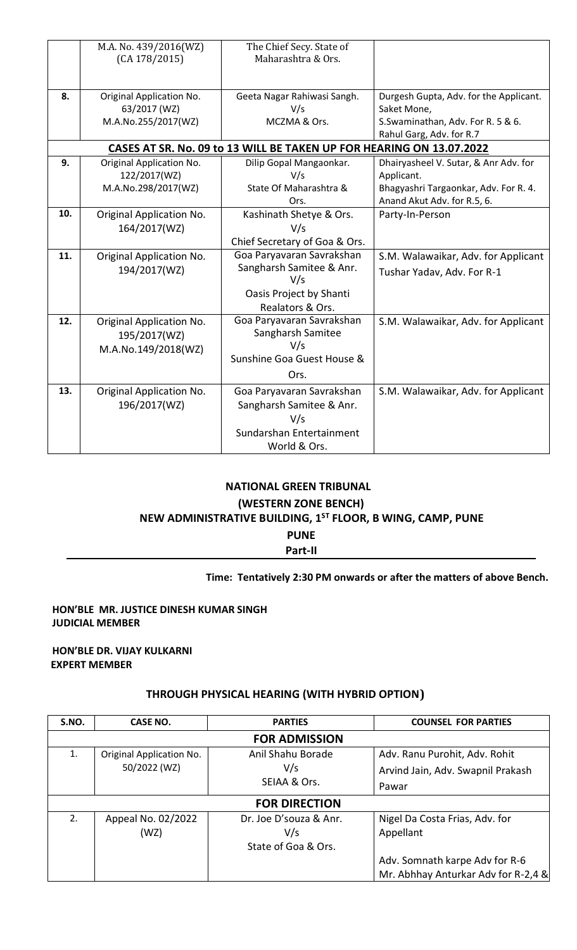|     | M.A. No. 439/2016(WZ)    | The Chief Secy. State of                                             |                                        |
|-----|--------------------------|----------------------------------------------------------------------|----------------------------------------|
|     | (CA 178/2015)            | Maharashtra & Ors.                                                   |                                        |
|     |                          |                                                                      |                                        |
| 8.  | Original Application No. | Geeta Nagar Rahiwasi Sangh.                                          | Durgesh Gupta, Adv. for the Applicant. |
|     | 63/2017 (WZ)             | V/s                                                                  | Saket Mone,                            |
|     | M.A.No.255/2017(WZ)      | MCZMA & Ors.                                                         | S.Swaminathan, Adv. For R. 5 & 6.      |
|     |                          |                                                                      | Rahul Garg, Adv. for R.7               |
|     |                          | CASES AT SR. No. 09 to 13 WILL BE TAKEN UP FOR HEARING ON 13.07.2022 |                                        |
| 9.  | Original Application No. | Dilip Gopal Mangaonkar.                                              | Dhairyasheel V. Sutar, & Anr Adv. for  |
|     | 122/2017(WZ)             | V/s                                                                  | Applicant.                             |
|     | M.A.No.298/2017(WZ)      | State Of Maharashtra &                                               | Bhagyashri Targaonkar, Adv. For R. 4.  |
|     |                          | Ors.                                                                 | Anand Akut Adv. for R.5, 6.            |
| 10. | Original Application No. | Kashinath Shetye & Ors.                                              | Party-In-Person                        |
|     | 164/2017(WZ)             | V/s                                                                  |                                        |
|     |                          | Chief Secretary of Goa & Ors.                                        |                                        |
| 11. | Original Application No. | Goa Paryavaran Savrakshan                                            | S.M. Walawaikar, Adv. for Applicant    |
|     | 194/2017(WZ)             | Sangharsh Samitee & Anr.                                             | Tushar Yadav, Adv. For R-1             |
|     |                          | V/s                                                                  |                                        |
|     |                          | Oasis Project by Shanti                                              |                                        |
|     |                          | Realators & Ors.                                                     |                                        |
| 12. | Original Application No. | Goa Paryavaran Savrakshan                                            | S.M. Walawaikar, Adv. for Applicant    |
|     | 195/2017(WZ)             | Sangharsh Samitee                                                    |                                        |
|     | M.A.No.149/2018(WZ)      | V/s                                                                  |                                        |
|     |                          | Sunshine Goa Guest House &                                           |                                        |
|     |                          | Ors.                                                                 |                                        |
| 13. | Original Application No. | Goa Paryavaran Savrakshan                                            | S.M. Walawaikar, Adv. for Applicant    |
|     | 196/2017(WZ)             | Sangharsh Samitee & Anr.                                             |                                        |
|     |                          | V/s                                                                  |                                        |
|     |                          | Sundarshan Entertainment                                             |                                        |
|     |                          | World & Ors.                                                         |                                        |

### **NATIONAL GREEN TRIBUNAL**

#### **(WESTERN ZONE BENCH)**

## **NEW ADMINISTRATIVE BUILDING, 1ST FLOOR, B WING, CAMP, PUNE**

**PUNE**

**Part-II**

#### **Time: Tentatively 2:30 PM onwards or after the matters of above Bench.**

#### **HON'BLE MR. JUSTICE DINESH KUMAR SINGH JUDICIAL MEMBER**

#### **HON'BLE DR. VIJAY KULKARNI EXPERT MEMBER**

#### **THROUGH PHYSICAL HEARING (WITH HYBRID OPTION)**

| S.NO.                | CASE NO.                                 | <b>PARTIES</b>                                       | <b>COUNSEL FOR PARTIES</b>                                                  |  |
|----------------------|------------------------------------------|------------------------------------------------------|-----------------------------------------------------------------------------|--|
| <b>FOR ADMISSION</b> |                                          |                                                      |                                                                             |  |
| 1.                   | Original Application No.<br>50/2022 (WZ) | Anil Shahu Borade<br>V/s<br>SEIAA & Ors.             | Adv. Ranu Purohit, Adv. Rohit<br>Arvind Jain, Adv. Swapnil Prakash<br>Pawar |  |
| <b>FOR DIRECTION</b> |                                          |                                                      |                                                                             |  |
| 2.                   | Appeal No. 02/2022<br>(WZ)               | Dr. Joe D'souza & Anr.<br>V/s<br>State of Goa & Ors. | Nigel Da Costa Frias, Adv. for<br>Appellant                                 |  |
|                      |                                          |                                                      | Adv. Somnath karpe Adv for R-6<br>Mr. Abhhay Anturkar Adv for R-2,4 &       |  |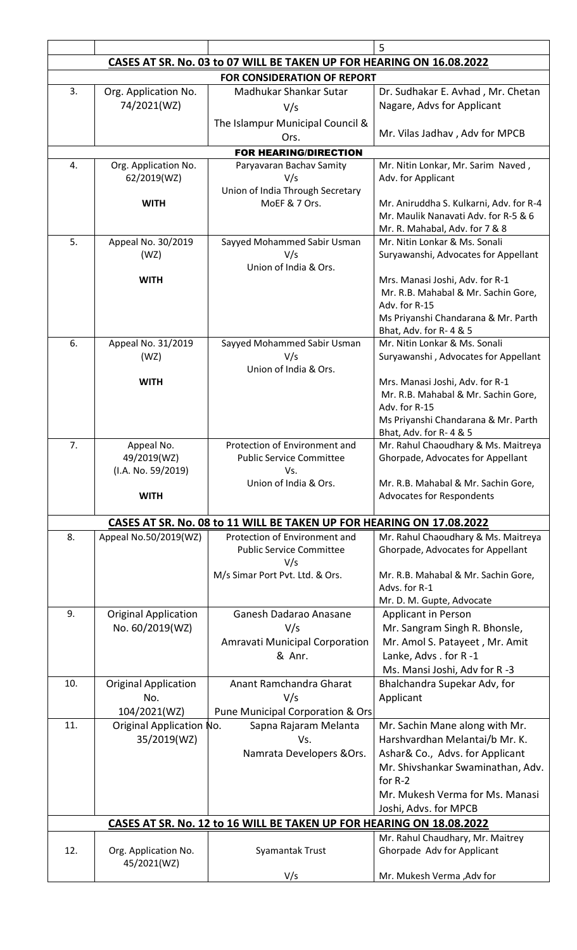|                                                                      |                                                |                                                                                                       | 5                                                                               |  |
|----------------------------------------------------------------------|------------------------------------------------|-------------------------------------------------------------------------------------------------------|---------------------------------------------------------------------------------|--|
|                                                                      |                                                | CASES AT SR. No. 03 to 07 WILL BE TAKEN UP FOR HEARING ON 16.08.2022                                  |                                                                                 |  |
| <b>FOR CONSIDERATION OF REPORT</b>                                   |                                                |                                                                                                       |                                                                                 |  |
| 3.                                                                   | Org. Application No.                           | Madhukar Shankar Sutar                                                                                | Dr. Sudhakar E. Avhad, Mr. Chetan                                               |  |
|                                                                      | 74/2021(WZ)                                    | V/s                                                                                                   | Nagare, Advs for Applicant                                                      |  |
|                                                                      |                                                | The Islampur Municipal Council &                                                                      |                                                                                 |  |
|                                                                      |                                                | Ors.                                                                                                  | Mr. Vilas Jadhav, Adv for MPCB                                                  |  |
|                                                                      |                                                | <b>FOR HEARING/DIRECTION</b>                                                                          |                                                                                 |  |
| 4.                                                                   | Org. Application No.                           | Paryavaran Bachav Samity                                                                              | Mr. Nitin Lonkar, Mr. Sarim Naved,                                              |  |
|                                                                      | 62/2019(WZ)                                    | V/s                                                                                                   | Adv. for Applicant                                                              |  |
|                                                                      |                                                | Union of India Through Secretary                                                                      |                                                                                 |  |
|                                                                      | <b>WITH</b>                                    | MoEF & 7 Ors.                                                                                         | Mr. Aniruddha S. Kulkarni, Adv. for R-4<br>Mr. Maulik Nanavati Adv. for R-5 & 6 |  |
|                                                                      |                                                |                                                                                                       | Mr. R. Mahabal, Adv. for 7 & 8                                                  |  |
| 5.                                                                   | Appeal No. 30/2019                             | Sayyed Mohammed Sabir Usman                                                                           | Mr. Nitin Lonkar & Ms. Sonali                                                   |  |
|                                                                      | (WZ)                                           | V/s                                                                                                   | Suryawanshi, Advocates for Appellant                                            |  |
|                                                                      |                                                | Union of India & Ors.                                                                                 |                                                                                 |  |
|                                                                      | <b>WITH</b>                                    |                                                                                                       | Mrs. Manasi Joshi, Adv. for R-1                                                 |  |
|                                                                      |                                                |                                                                                                       | Mr. R.B. Mahabal & Mr. Sachin Gore,<br>Adv. for R-15                            |  |
|                                                                      |                                                |                                                                                                       | Ms Priyanshi Chandarana & Mr. Parth                                             |  |
|                                                                      |                                                |                                                                                                       | Bhat, Adv. for R-4 & 5                                                          |  |
| 6.                                                                   | Appeal No. 31/2019                             | Sayyed Mohammed Sabir Usman                                                                           | Mr. Nitin Lonkar & Ms. Sonali                                                   |  |
|                                                                      | (WZ)                                           | V/s                                                                                                   | Suryawanshi, Advocates for Appellant                                            |  |
|                                                                      | <b>WITH</b>                                    | Union of India & Ors.                                                                                 | Mrs. Manasi Joshi, Adv. for R-1                                                 |  |
|                                                                      |                                                |                                                                                                       | Mr. R.B. Mahabal & Mr. Sachin Gore,                                             |  |
|                                                                      |                                                |                                                                                                       | Adv. for R-15                                                                   |  |
|                                                                      |                                                |                                                                                                       | Ms Priyanshi Chandarana & Mr. Parth                                             |  |
|                                                                      |                                                |                                                                                                       | Bhat, Adv. for R-4 & 5                                                          |  |
| 7.                                                                   | Appeal No.<br>49/2019(WZ)                      | Protection of Environment and<br><b>Public Service Committee</b>                                      | Mr. Rahul Chaoudhary & Ms. Maitreya<br>Ghorpade, Advocates for Appellant        |  |
|                                                                      | (I.A. No. 59/2019)                             | Vs.                                                                                                   |                                                                                 |  |
|                                                                      |                                                | Union of India & Ors.                                                                                 | Mr. R.B. Mahabal & Mr. Sachin Gore,                                             |  |
|                                                                      | <b>WITH</b>                                    |                                                                                                       | Advocates for Respondents                                                       |  |
|                                                                      |                                                |                                                                                                       |                                                                                 |  |
| 8.                                                                   | Appeal No.50/2019(WZ)                          | CASES AT SR. No. 08 to 11 WILL BE TAKEN UP FOR HEARING ON 17.08.2022<br>Protection of Environment and | Mr. Rahul Chaoudhary & Ms. Maitreya                                             |  |
|                                                                      |                                                | <b>Public Service Committee</b>                                                                       | Ghorpade, Advocates for Appellant                                               |  |
|                                                                      |                                                | V/s                                                                                                   |                                                                                 |  |
|                                                                      |                                                | M/s Simar Port Pvt. Ltd. & Ors.                                                                       | Mr. R.B. Mahabal & Mr. Sachin Gore,                                             |  |
|                                                                      |                                                |                                                                                                       | Advs. for R-1                                                                   |  |
| 9.                                                                   |                                                |                                                                                                       | Mr. D. M. Gupte, Advocate                                                       |  |
|                                                                      | <b>Original Application</b><br>No. 60/2019(WZ) | Ganesh Dadarao Anasane<br>V/s                                                                         | <b>Applicant in Person</b><br>Mr. Sangram Singh R. Bhonsle,                     |  |
|                                                                      |                                                | Amravati Municipal Corporation                                                                        | Mr. Amol S. Patayeet, Mr. Amit                                                  |  |
|                                                                      |                                                | & Anr.                                                                                                | Lanke, Advs. for R-1                                                            |  |
|                                                                      |                                                |                                                                                                       | Ms. Mansi Joshi, Adv for R-3                                                    |  |
| 10.                                                                  | <b>Original Application</b>                    | Anant Ramchandra Gharat                                                                               | Bhalchandra Supekar Adv, for                                                    |  |
|                                                                      | No.                                            | V/s                                                                                                   | Applicant                                                                       |  |
|                                                                      | 104/2021(WZ)                                   | Pune Municipal Corporation & Ors                                                                      |                                                                                 |  |
| 11.                                                                  | Original Application No.                       | Sapna Rajaram Melanta                                                                                 | Mr. Sachin Mane along with Mr.                                                  |  |
|                                                                      | 35/2019(WZ)                                    | Vs.                                                                                                   | Harshvardhan Melantai/b Mr. K.                                                  |  |
|                                                                      |                                                | Namrata Developers & Ors.                                                                             | Ashar& Co., Advs. for Applicant                                                 |  |
|                                                                      |                                                |                                                                                                       | Mr. Shivshankar Swaminathan, Adv.                                               |  |
|                                                                      |                                                |                                                                                                       | for R-2                                                                         |  |
|                                                                      |                                                |                                                                                                       | Mr. Mukesh Verma for Ms. Manasi<br>Joshi, Advs. for MPCB                        |  |
| CASES AT SR. No. 12 to 16 WILL BE TAKEN UP FOR HEARING ON 18.08.2022 |                                                |                                                                                                       |                                                                                 |  |
|                                                                      |                                                |                                                                                                       | Mr. Rahul Chaudhary, Mr. Maitrey                                                |  |
| 12.                                                                  | Org. Application No.                           | Syamantak Trust                                                                                       | Ghorpade Adv for Applicant                                                      |  |
|                                                                      | 45/2021(WZ)                                    |                                                                                                       |                                                                                 |  |
|                                                                      |                                                | V/s                                                                                                   | Mr. Mukesh Verma , Adv for                                                      |  |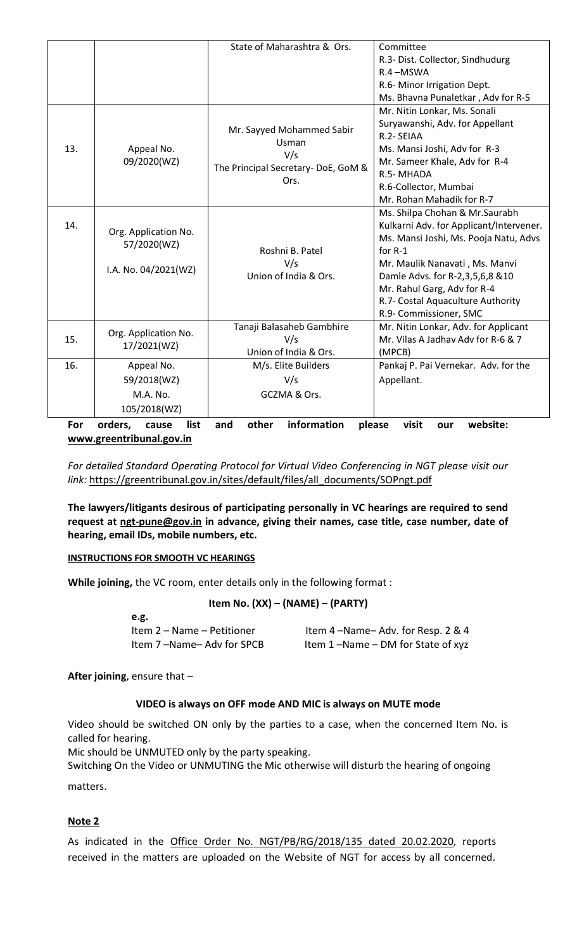|     |                                     | State of Maharashtra & Ors.                | Committee                               |
|-----|-------------------------------------|--------------------------------------------|-----------------------------------------|
|     |                                     |                                            | R.3- Dist. Collector, Sindhudurg        |
|     |                                     |                                            | R.4-MSWA                                |
|     |                                     |                                            | R.6- Minor Irrigation Dept.             |
|     |                                     |                                            | Ms. Bhavna Punaletkar, Adv for R-5      |
|     |                                     |                                            | Mr. Nitin Lonkar, Ms. Sonali            |
|     | Appeal No.                          | Mr. Sayyed Mohammed Sabir<br>Usman         | Suryawanshi, Adv. for Appellant         |
|     |                                     |                                            | R.2- SEIAA                              |
| 13. |                                     | V/s                                        | Ms. Mansi Joshi, Adv for R-3            |
|     | 09/2020(WZ)                         |                                            | Mr. Sameer Khale, Adv for R-4           |
|     |                                     | The Principal Secretary-DoE, GoM &<br>Ors. | R.5-MHADA                               |
|     |                                     |                                            | R.6-Collector, Mumbai                   |
|     |                                     |                                            | Mr. Rohan Mahadik for R-7               |
|     |                                     |                                            | Ms. Shilpa Chohan & Mr. Saurabh         |
| 14. |                                     |                                            | Kulkarni Adv. for Applicant/Intervener. |
|     | Org. Application No.<br>57/2020(WZ) |                                            | Ms. Mansi Joshi, Ms. Pooja Natu, Advs   |
|     |                                     | Roshni B. Patel                            | for R-1                                 |
|     | I.A. No. 04/2021(WZ)                | V/s                                        | Mr. Maulik Nanavati, Ms. Manvi          |
|     |                                     | Union of India & Ors.                      | Damle Advs. for R-2,3,5,6,8 & 10        |
|     |                                     |                                            | Mr. Rahul Garg, Adv for R-4             |
|     |                                     |                                            | R.7- Costal Aquaculture Authority       |
|     |                                     |                                            | R.9- Commissioner, SMC                  |
|     | Org. Application No.                | Tanaji Balasaheb Gambhire                  | Mr. Nitin Lonkar, Adv. for Applicant    |
| 15. | 17/2021(WZ)                         | V/s                                        | Mr. Vilas A Jadhay Adv for R-6 & 7      |
|     |                                     | Union of India & Ors.                      | (MPCB)                                  |
| 16. | Appeal No.                          | M/s. Elite Builders                        | Pankaj P. Pai Vernekar. Adv. for the    |
|     | 59/2018(WZ)                         | V/s                                        | Appellant.                              |
|     | M.A. No.                            | GCZMA & Ors.                               |                                         |
|     | 105/2018(WZ)                        |                                            |                                         |
| For | orders,<br>list<br>cause            | information<br>other<br>and                | website:<br>please<br>visit<br>our      |

**[www.greentribunal.gov.in](http://www.greentribunal.gov.in/)**

*For detailed Standard Operating Protocol for Virtual Video Conferencing in NGT please visit our link:* [https://greentribunal.gov.in/sites/default/files/all\\_documents/SOPngt.pdf](https://greentribunal.gov.in/sites/default/files/all_documents/SOPngt.pdf)

**The lawyers/litigants desirous of participating personally in VC hearings are required to send request at [ngt-pune@gov.in](mailto:ngt-pune@gov.in) in advance, giving their names, case title, case number, date of hearing, email IDs, mobile numbers, etc.**

#### **INSTRUCTIONS FOR SMOOTH VC HEARINGS**

**While joining,** the VC room, enter details only in the following format :

#### **Item No. (XX) – (NAME) – (PARTY)**

| e.g.                       |                                   |
|----------------------------|-----------------------------------|
| Item 2 – Name – Petitioner | Item 4-Name-Adv. for Resp. 2 & 4  |
| Item 7-Name-Adv for SPCB   | Item 1-Name - DM for State of xyz |

**After joining**, ensure that –

#### **VIDEO is always on OFF mode AND MIC is always on MUTE mode**

Video should be switched ON only by the parties to a case, when the concerned Item No. is called for hearing.

Mic should be UNMUTED only by the party speaking.

Switching On the Video or UNMUTING the Mic otherwise will disturb the hearing of ongoing matters.

# **Note 2**

As indicated in the [Office Order No. NGT/PB/RG/2018/135 dated 20.02.2020,](https://greentribunal.gov.in/sites/default/files/office_orders/Office%20Order%2020.2.2020_0.pdf) reports received in the matters are uploaded on the Website of NGT for access by all concerned.